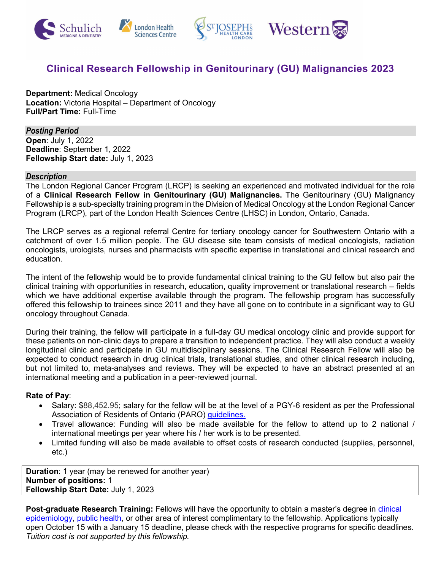

# **Clinical Research Fellowship in Genitourinary (GU) Malignancies 2023**

**Department:** Medical Oncology **Location:** Victoria Hospital – Department of Oncology **Full/Part Time:** Full-Time

*Posting Period*  **Open**: July 1, 2022 **Deadline**: September 1, 2022 **Fellowship Start date:** July 1, 2023

#### *Description*

The London Regional Cancer Program (LRCP) is seeking an experienced and motivated individual for the role of a **Clinical Research Fellow in Genitourinary (GU) Malignancies.** The Genitourinary (GU) Malignancy Fellowship is a sub-specialty training program in the Division of Medical Oncology at the London Regional Cancer Program (LRCP), part of the London Health Sciences Centre (LHSC) in London, Ontario, Canada.

The LRCP serves as a regional referral Centre for tertiary oncology cancer for Southwestern Ontario with a catchment of over 1.5 million people. The GU disease site team consists of medical oncologists, radiation oncologists, urologists, nurses and pharmacists with specific expertise in translational and clinical research and education.

The intent of the fellowship would be to provide fundamental clinical training to the GU fellow but also pair the clinical training with opportunities in research, education, quality improvement or translational research – fields which we have additional expertise available through the program. The fellowship program has successfully offered this fellowship to trainees since 2011 and they have all gone on to contribute in a significant way to GU oncology throughout Canada.

During their training, the fellow will participate in a full-day GU medical oncology clinic and provide support for these patients on non-clinic days to prepare a transition to independent practice. They will also conduct a weekly longitudinal clinic and participate in GU multidisciplinary sessions. The Clinical Research Fellow will also be expected to conduct research in drug clinical trials, translational studies, and other clinical research including, but not limited to, meta-analyses and reviews. They will be expected to have an abstract presented at an international meeting and a publication in a peer-reviewed journal.

#### **Rate of Pay**:

- Salary: \$88,452.95; salary for the fellow will be at the level of a PGY-6 resident as per the Professional Association of Residents of Ontario (PARO) [guidelines.](https://myparo.ca/starting-residency/#salary-and-benefits)
- Travel allowance: Funding will also be made available for the fellow to attend up to 2 national / international meetings per year where his / her work is to be presented.
- Limited funding will also be made available to offset costs of research conducted (supplies, personnel, etc.)

**Duration**: 1 year (may be renewed for another year) **Number of positions:** 1 **Fellowship Start Date:** July 1, 2023

**Post-graduate Research Training:** Fellows will have the opportunity to obtain a master's degree in c[linical](https://grad.uwo.ca/admissions/programs/program.cfm?p=50)  [epidemiology,](https://grad.uwo.ca/admissions/programs/program.cfm?p=50) [public health,](https://www.schulich.uwo.ca/publichealth/) or other area of interest complimentary to the fellowship. Applications typically open October 15 with a January 15 deadline, please check with the respective programs for specific deadlines. *Tuition cost is not supported by this fellowship.*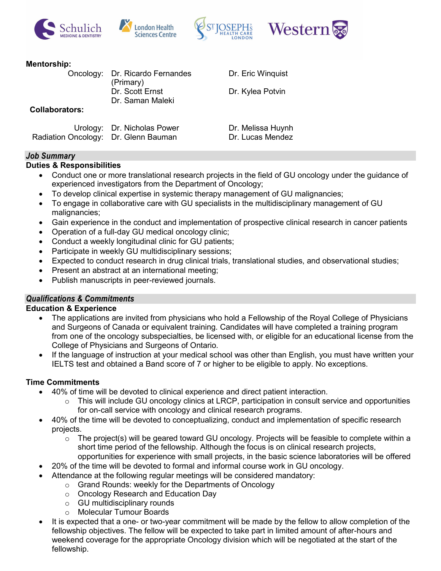







#### **Mentorship:**

|                                      | Oncology: Dr. Ricardo Fernandes<br>(Primary) | Dr. Eric Winquist                     |
|--------------------------------------|----------------------------------------------|---------------------------------------|
|                                      | Dr. Scott Ernst<br>Dr. Saman Maleki          | Dr. Kylea Potvin                      |
| <b>Collaborators:</b>                |                                              |                                       |
| Radiation Oncology: Dr. Glenn Bauman | Urology: Dr. Nicholas Power                  | Dr. Melissa Huynh<br>Dr. Lucas Mendez |

## *Job Summary*

## **Duties & Responsibilities**

- Conduct one or more translational research projects in the field of GU oncology under the guidance of experienced investigators from the Department of Oncology;
- To develop clinical expertise in systemic therapy management of GU malignancies;
- To engage in collaborative care with GU specialists in the multidisciplinary management of GU malignancies;
- Gain experience in the conduct and implementation of prospective clinical research in cancer patients
- Operation of a full-day GU medical oncology clinic;
- Conduct a weekly longitudinal clinic for GU patients;
- Participate in weekly GU multidisciplinary sessions;
- Expected to conduct research in drug clinical trials, translational studies, and observational studies;
- Present an abstract at an international meeting;
- Publish manuscripts in peer-reviewed journals.

## *Qualifications & Commitments*

#### **Education & Experience**

- The applications are invited from physicians who hold a Fellowship of the Royal College of Physicians and Surgeons of Canada or equivalent training. Candidates will have completed a training program from one of the oncology subspecialties, be licensed with, or eligible for an educational license from the College of Physicians and Surgeons of Ontario.
- If the language of instruction at your medical school was other than English, you must have written your IELTS test and obtained a Band score of 7 or higher to be eligible to apply. No exceptions.

#### **Time Commitments**

- 40% of time will be devoted to clinical experience and direct patient interaction.
	- This will include GU oncology clinics at LRCP, participation in consult service and opportunities for on-call service with oncology and clinical research programs.
- 40% of the time will be devoted to conceptualizing, conduct and implementation of specific research projects.
	- $\circ$  The project(s) will be geared toward GU oncology. Projects will be feasible to complete within a short time period of the fellowship. Although the focus is on clinical research projects, opportunities for experience with small projects, in the basic science laboratories will be offered
- 20% of the time will be devoted to formal and informal course work in GU oncology.
	- Attendance at the following regular meetings will be considered mandatory:
		- o Grand Rounds: weekly for the Departments of Oncology
			- o Oncology Research and Education Day
			- o GU multidisciplinary rounds
			- o Molecular Tumour Boards
- It is expected that a one- or two-year commitment will be made by the fellow to allow completion of the fellowship objectives. The fellow will be expected to take part in limited amount of after-hours and weekend coverage for the appropriate Oncology division which will be negotiated at the start of the fellowship.